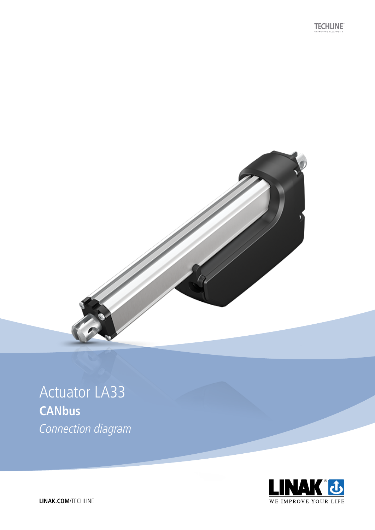**TECHLINE** 



## **Actuator LA33 CANbus** Connection diagram



LINAK.COM/TECHLINE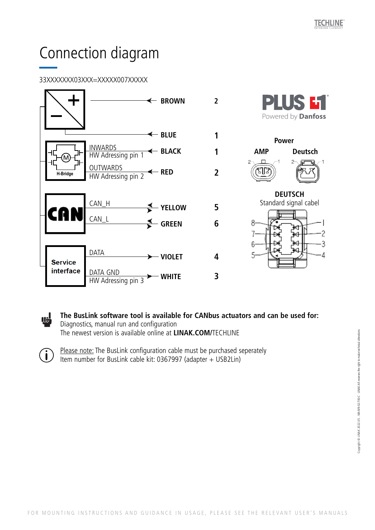# Connection diagram

### 33XXXXXXX03XXX=XXXXX007XXXXX

 $\ddot{\mathbf{i}}$ 



**The BusLink software tool is available for CANbus actuators and can be used for:** <u>iel</u> Diagnostics, manual run and configuration The newest version is available online at **LINAK.COM/**TECHLINE

Please note: The BusLink configuration cable must be purchased seperately Item number for BusLink cable kit: 0367997 (adapter + USB2Lin)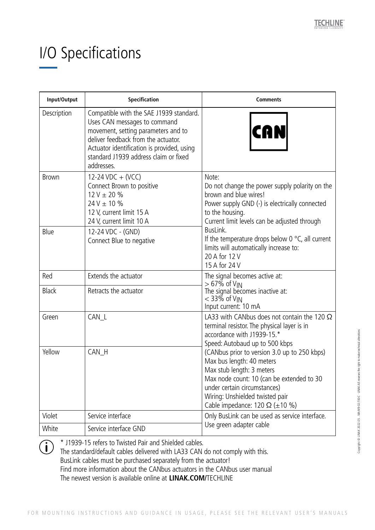# I/O Specifications

| Input/Output | <b>Specification</b>                                                                                                                                                                                                                                       | <b>Comments</b>                                                                                                                                                                                                                                                                                                                                                                                                                            |
|--------------|------------------------------------------------------------------------------------------------------------------------------------------------------------------------------------------------------------------------------------------------------------|--------------------------------------------------------------------------------------------------------------------------------------------------------------------------------------------------------------------------------------------------------------------------------------------------------------------------------------------------------------------------------------------------------------------------------------------|
| Description  | Compatible with the SAE J1939 standard.<br>Uses CAN messages to command<br>movement, setting parameters and to<br>deliver feedback from the actuator.<br>Actuator identification is provided, using<br>standard J1939 address claim or fixed<br>addresses. | CAN                                                                                                                                                                                                                                                                                                                                                                                                                                        |
| <b>Brown</b> | 12-24 VDC + (VCC)<br>Connect Brown to positive<br>$12 V \pm 20 \%$<br>$24 V \pm 10 \%$<br>12 V, current limit 15 A<br>24 V, current limit 10 A                                                                                                             | Note:<br>Do not change the power supply polarity on the<br>brown and blue wires!<br>Power supply GND (-) is electrically connected<br>to the housing.<br>Current limit levels can be adjusted through<br>BusLink.<br>If the temperature drops below 0 $\degree$ C, all current<br>limits will automatically increase to:<br>20 A for 12 V<br>15 A for 24 V                                                                                 |
| Blue         | 12-24 VDC - (GND)<br>Connect Blue to negative                                                                                                                                                                                                              |                                                                                                                                                                                                                                                                                                                                                                                                                                            |
| Red          | Extends the actuator                                                                                                                                                                                                                                       | The signal becomes active at:<br>> 67% of V <sub>IN</sub><br>The signal becomes inactive at:<br>< 33% of V∣N<br>Input current: 10 mA                                                                                                                                                                                                                                                                                                       |
| <b>Black</b> | Retracts the actuator                                                                                                                                                                                                                                      |                                                                                                                                                                                                                                                                                                                                                                                                                                            |
| Green        | CAN_L                                                                                                                                                                                                                                                      | LA33 with CANbus does not contain the 120 $\Omega$<br>terminal resistor. The physical layer is in<br>accordance with J1939-15.*<br>Speed: Autobaud up to 500 kbps<br>(CANbus prior to version 3.0 up to 250 kbps)<br>Max bus length: 40 meters<br>Max stub length: 3 meters<br>Max node count: 10 (can be extended to 30<br>under certain circumstances)<br>Wiring: Unshielded twisted pair<br>Cable impedance: 120 $\Omega$ ( $\pm$ 10 %) |
| Yellow       | CAN_H                                                                                                                                                                                                                                                      |                                                                                                                                                                                                                                                                                                                                                                                                                                            |
| Violet       | Service interface                                                                                                                                                                                                                                          | Only BusLink can be used as service interface.<br>Use green adapter cable                                                                                                                                                                                                                                                                                                                                                                  |
| White        | Service interface GND                                                                                                                                                                                                                                      |                                                                                                                                                                                                                                                                                                                                                                                                                                            |

\* J1939-15 refers to Twisted Pair and Shielded cables.  $\binom{1}{1}$ 

The standard/default cables delivered with LA33 CAN do not comply with this. BusLink cables must be purchased separately from the actuator! Find more information about the CANbus actuators in the CANbus user manual The newest version is available online at **LINAK.COM/**TECHLINE